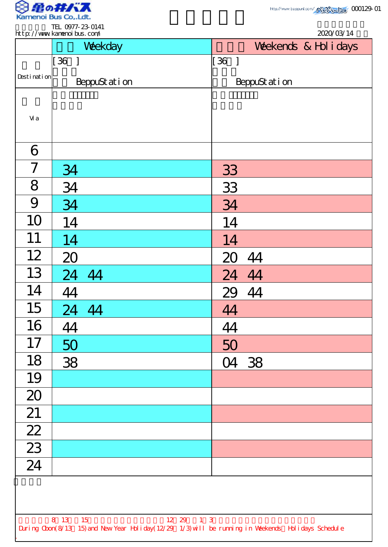

|                 | Weekday                            | Weekends & Hol i days                                                                              |
|-----------------|------------------------------------|----------------------------------------------------------------------------------------------------|
|                 | $\begin{bmatrix} 36 \end{bmatrix}$ | $\begin{bmatrix} 36 \end{bmatrix}$                                                                 |
| Desti nati on   | BeppuStation                       | BeppuStation                                                                                       |
|                 |                                    |                                                                                                    |
| Vi a            |                                    |                                                                                                    |
| 6               |                                    |                                                                                                    |
| 7               | 34                                 | 33                                                                                                 |
| 8               | 34                                 | 33                                                                                                 |
| 9               | 34                                 | 34                                                                                                 |
| 10              | 14                                 | 14                                                                                                 |
| 11              | 14                                 | 14                                                                                                 |
| 12              | 20                                 | 44<br>20                                                                                           |
| 13              | 24 44                              | 24 44                                                                                              |
| 14              | 44                                 | 29 44                                                                                              |
| 15              | 24 44                              | 44                                                                                                 |
| 16              | 44                                 | 44                                                                                                 |
| 17              | 50                                 | 50                                                                                                 |
| 18              | 38                                 | 04 38                                                                                              |
| 19              |                                    |                                                                                                    |
| 20              |                                    |                                                                                                    |
| 21              |                                    |                                                                                                    |
| $\frac{22}{23}$ |                                    |                                                                                                    |
|                 |                                    |                                                                                                    |
| $\overline{24}$ |                                    |                                                                                                    |
|                 |                                    |                                                                                                    |
|                 |                                    |                                                                                                    |
|                 | 8 13 15<br>12 29 1 3               | During Cbon(8/13 15) and New Year Holiday(12/29 1/3) will be running in Weekends Holidays Schedule |